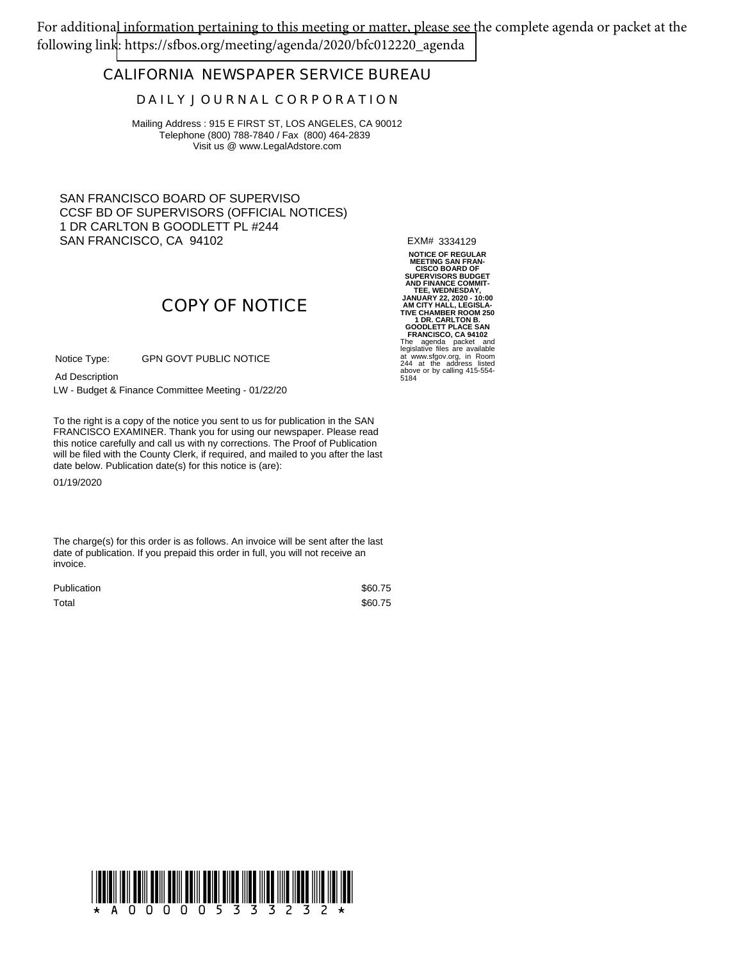For additional information pertaining to this meeting or matter, please see the complete agenda or packet at the following lin[k: https://sfbos.org/meeting/agenda/2020/bfc012220\\_agenda](https://sfbos.org/meeting/agenda/2020/bfc012220_agenda)

### **CALIFORNIA NEWSPAPER SERVICE BUREAU**

#### **D A I L Y J O U R N A L C O R P O R A T I O N**

Mailing Address : 915 E FIRST ST, LOS ANGELES, CA 90012 Telephone (800) 788-7840 / Fax (800) 464-2839 Visit us @ www.LegalAdstore.com

SAN FRANCISCO BOARD OF SUPERVISO CCSF BD OF SUPERVISORS (OFFICIAL NOTICES) 1 DR CARLTON B GOODLETT PL #244 SAN FRANCISCO, CA 94102

EXM# 3334129

# **COPY OF NOTICE**

GPN GOVT PUBLIC NOTICE Notice Type:

Ad Description

LW - Budget & Finance Committee Meeting - 01/22/20

FRANCISCO EXAMINER. Thank you for using our newspaper. Please read<br>this notice carefully and call us with ny corrections. The Proof of Publication To the right is a copy of the notice you sent to us for publication in the SAN FRANCISCO EXAMINER. Thank you for using our newspaper. Please read will be filed with the County Clerk, if required, and mailed to you after the last date below. Publication date(s) for this notice is (are):

01/19/2020

The charge(s) for this order is as follows. An invoice will be sent after the last date of publication. If you prepaid this order in full, you will not receive an invoice.

| <b>Publication</b> | \$60.75 |
|--------------------|---------|
| Total              | \$60.75 |

**NOTICE OF REGULAR MEETING SAN FRAN-CISCO BOARD OF SUPERVISORS BUDGET AND FINANCE COMMIT-TEE, WEDNESDAY, JANUARY 22, 2020 - 10:00 AM CITY HALL, LEGISLA-TIVE CHAMBER ROOM 250 1 DR. CARLTON B. GOODLETT PLACE SAN FRANCISCO, CA 94102** The agenda packet and legislative files are available at www.sfgov.org, in Room 244 at the address listed above or by calling 415-554- 5184